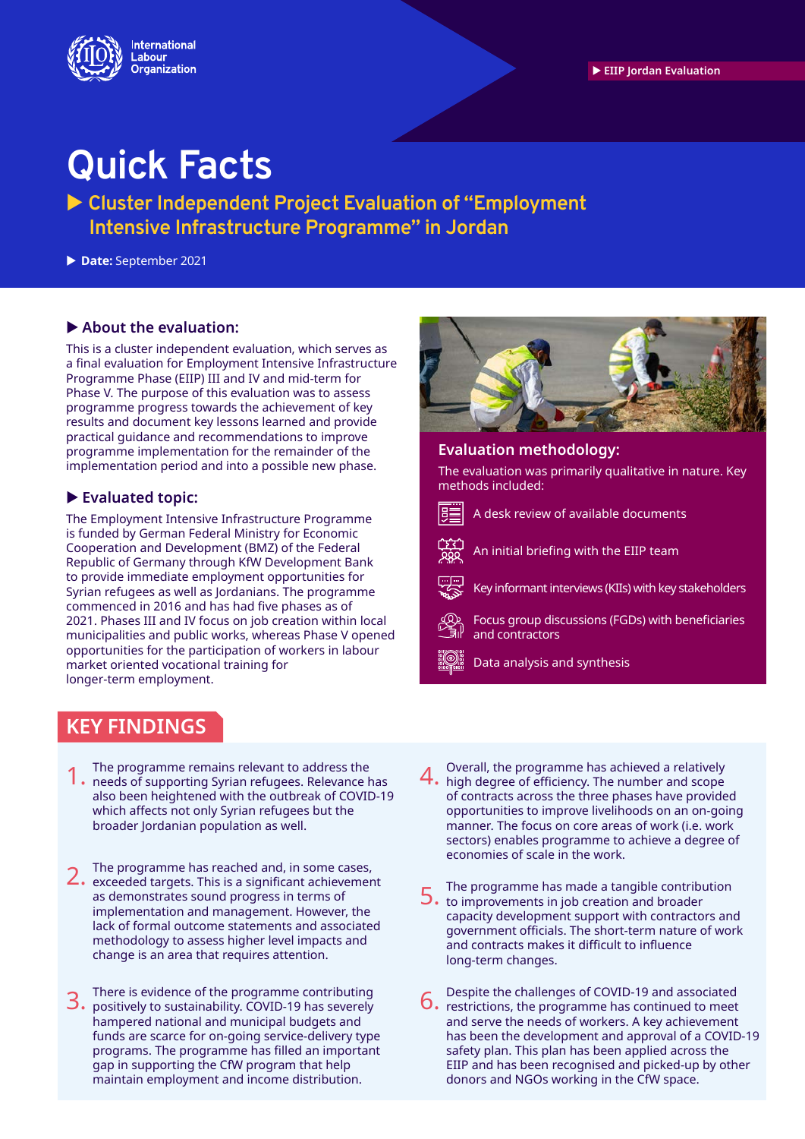

## **Quick Facts**

 **Cluster Independent Project Evaluation of "Employment Intensive Infrastructure Programme" in Jordan**

**Date:** September 2021

#### **About the evaluation:**

This is a cluster independent evaluation, which serves as a final evaluation for Employment Intensive Infrastructure Programme Phase (EIIP) III and IV and mid-term for Phase V. The purpose of this evaluation was to assess programme progress towards the achievement of key results and document key lessons learned and provide practical guidance and recommendations to improve programme implementation for the remainder of the implementation period and into a possible new phase.

#### **Evaluated topic:**

The Employment Intensive InfraStructure Programme is funded by German Federal MiniStry for Economic Cooperation and Development (BMZ) of the Federal Republic of Germany through KfW Development Bank to provide immediate employment opportunities for Syrian refugees as well as Jordanians. The programme commenced in 2016 and has had five phases as of 2021. Phases III and IV focus on job creation within local municipalities and public works, whereas Phase V opened opportunities for the participation of workers in labour market oriented vocational training for longer-term employment.

### **KEY FINDINGS**

- The programme remains relevant to address the 1. The programme remains relevant to address the and the reeds of supporting Syrian refugees. Relevance has 4. also been heightened with the outbreak of COVID-19 which affects not only Syrian refugees but the broader Jordanian population as well.
- The programme has reached and, in some cases, 2. The programme has reached and, in some cases,<br>2. exceeded targets. This is a significant achievement as demonstrates sound progress in terms of implementation and management. However, the lack of formal outcome statements and associated methodology to assess higher level impacts and change is an area that requires attention.
- There is evidence of the programme contributing  $3.$  There is evidence of the programme contributing  $6.$ hampered national and municipal budgets and funds are scarce for on-going service-delivery type programs. The programme has filled an important gap in supporting the CfW program that help maintain employment and income distribution.



#### **Evaluation methodology:**

The evaluation was primarily qualitative in nature. Key methods included:



A desk review of available documents



An initial briefing with the EIIP team

Key informant interviews (KIIs) with key stakeholders

Focus group discussions (FGDs) with beneficiaries and contractors

Data analysis and synthesis

- Overall, the programme has achieved a relatively 4. high degree of efficiency. The number and scope of contracts across the three phases have provided opportunities to improve livelihoods on an on-going manner. The focus on core areas of work (i.e. work sectors) enables programme to achieve a degree of economies of scale in the work.
- The programme has made a tangible contribution 5. The programme has made a tangible contributed to improvements in job creation and broader capacity development support with contractors and government officials. The short-term nature of work and contracts makes it difficult to influence long-term changes.
- Despite the challenges of COVID-19 and associated  $6.$  Pespite the chancity of  $2.211$  continued to meet and serve the needs of workers. A key achievement has been the development and approval of a COVID-19 safety plan. This plan has been applied across the EIIP and has been recognised and picked-up by other donors and NGOs working in the CfW space.